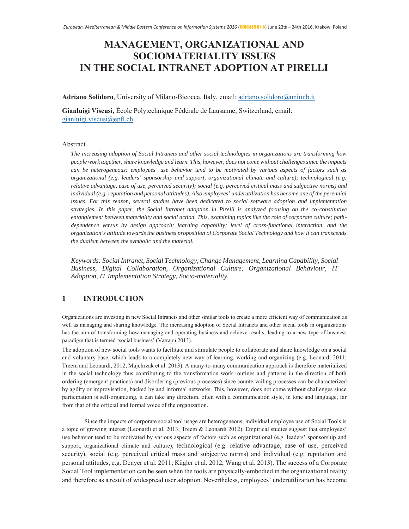# **MANAGEMENT, ORGANIZATIONAL AND 62&SOCIOMATERIALITY ISSUES IN THE SOCIAL INTRANET ADOPTION AT PIRELLI**

**Adriano Solidoro**, University of Milano-Bicocca, Italy, email: adriano.solidoro@unimib.it

Gianluigi Viscusi, École Polytechnique Fédérale de Lausanne, Switzerland, email: gianluigi.viscusi $@$ epfl.ch

### Abstract

*The increasing adoption of Social Intranets and other social technologies in organizations are transforming how people work together, share knowledge and learn. This, however, does not come without challenges since the impacts can be heterogeneous: employees' use behavior tend to be motivated by various aspects of factors such as organizational (e.g. leaders' sponsorship and support, organizational climate and culture); technological (e.g. relative advantage, ease of use, perceived security); social (e.g. perceived critical mass and subjective norms) and individual (e.g. reputation and personal attitudes). Also employees' underutilization has become one of the perennial issues. For this reason, several studies have been dedicated to social software adoption and implementation strategies. In this paper, the Social Intranet adoption in Pirelli is analyzed focusing on the co-constitutive entanglement between materiality and social action. This, examining topics like the role of corporate culture; pathdependence versus by design approach; learning capability; level of cross-functional interaction, and the organization's attitude towards the business proposition of Corporate Social Technology and how it can transcends the dualism between the symbolic and the material.*

*Keywords: Social Intranet, Social Technology, Change Management, Learning Capability, Social Business, Digital Collaboration, Organizational Culture, Organizational Behaviour, IT Adoption, IT Implementation Strategy, Socio-materiality.*

# 1 **INTRODUCTION**

Organizations are investing in new Social Intranets and other similar tools to create a more efficient way of communication as well as managing and sharing knowledge. The increasing adoption of Social Intranets and other social tools in organizations has the aim of transforming how managing and operating business and achieve results, leading to a new type of business paradigm that is termed 'social business' (Vatrapu 2013).

The adoption of new social tools wants to facilitate and stimulate people to collaborate and share knowledge on a social and voluntary base, which leads to a completely new way of learning, working and organizing (e.g. Leonardi 2011; Treem and Leonardi, 2012, Majchrzak et al. 2013). A many-to-many communication approach is therefore materialized in the social technology thus contributing to the transformation work routines and patterns in the direction of both ordering (emergent practices) and disordering (previous processes) since countervailing processes can be characterized by agility or improvisation, backed by and informal networks. This, however, does not come without challenges since participation is self-organizing, it can take any direction, often with a communication style, in tone and language, far from that of the official and formal voice of the organization.

Since the impacts of corporate social tool usage are heterogeneous, individual employee use of Social Tools is a topic of growing interest (Leonardi et al. 2013; Treem & Leonardi 2012). Empirical studies suggest that employees' use behavior tend to be motivated by various aspects of factors such as organizational (e.g. leaders' sponsorship and support, organizational climate and culture), technological (e.g. relative advantage, ease of use, perceived security), social (e.g. perceived critical mass and subjective norms) and individual (e.g. reputation and personal attitudes, e.g. Denyer et al. 2011; Kügler et al. 2012; Wang et al. 2013). The success of a Corporate Social Tool implementation can be seen when the tools are physically-embodied in the organizational reality and therefore as a result of widespread user adoption. Nevertheless, employees' underutilization has become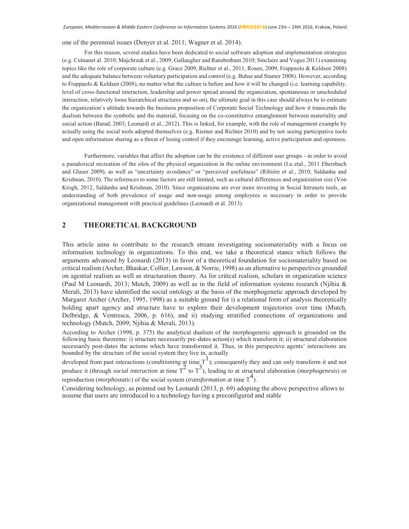one of the perennial issues (Denyer et al. 2011; Wagner et al. 2014).

For this reason, several studies have been dedicated to social software adoption and implementation strategies (e.g. Culnanet al. 2010; Majchrzak et al., 2009; Gallaugher and Ransbotham 2010; Sinclaire and Vogus 2011) examining topics like the role of corporate culture (e.g. Grace 2009, Richter et al., 2011, Rosen, 2009, Frappaolo & Keldsen 2008) and the adequate balance between voluntary participation and control (e.g. Buhse and Stamer 2008). However, according to Frappaolo & Keldsen (2008), no matter what the culture is before and how it will be changed (i.e. learning capability, level of cross-functional interaction, leadership and power spread around the organization, spontaneous or unscheduled interaction, relatively loose hierarchical structures and so on), the ultimate goal in this case should always be to estimate the organization's attitude towards the business proposition of Corporate Social Technology and how it transcends the dualism between the symbolic and the material, focusing on the co-constitutive entanglement between materiality and social action (Barad, 2003; Leonardi et al., 2012). This is linked, for example, with the role of management example by actually using the social tools adopted themselves (e.g. Riemer and Richter 2010) and by not seeing participative tools and open information sharing as a threat of losing control if they encourage learning, active participation and openness.

Furthermore, variables that affect the adoption can be the existence of different user groups - in order to avoid a paradoxical recreation of the silos of the physical organization in the online environment (Lu etal., 2011 Ebersbach and Glaser 2009), as well as "uncertainty avoidance" or "perceived usefulness" (Ribière et al., 2010; Saldanha and Krishnan, 2010). The references to some factors are still limited, such as cultural differences and organization size (Von Krogh, 2012, Saldanha and Krishnan, 2010). Since organizations are ever more investing in Social Intranets tools, an understanding of both prevalence of usage and non-usage among employees is necessary in order to provide organizational management with practical guidelines (Leonardi et al. 2013).

#### $\overline{2}$ **THEORETICAL BACKGROUND**

This article aims to contribute to the research stream investigating sociomateriality with a focus on information technology in organizations. To this end, we take a theoretical stance which follows the arguments advanced by Leonardi (2013) in favor of a theoretical foundation for sociomateriality based on critical realism (Archer, Bhaskar, Collier, Lawson, & Norrie, 1998) as an alternative to perspectives grounded on agential realism as well as structuration theory. As for critical realism, scholars in organization science (Paul M Leonardi, 2013; Mutch, 2009) as well as in the field of information systems research (Njihia  $\&$ Merali, 2013) have identified the social ontology at the basis of the morphogenetic approach developed by Margaret Archer (Archer, 1995, 1998) as a suitable ground for i) a relational form of analysis theoretically holding apart agency and structure have to explore their development trajectories over time (Mutch, Delbridge, & Ventresca, 2006, p. 616), and ii) studying stratified connections of organizations and technology (Mutch, 2009; Njihia & Merali, 2013).

According to Archer (1998, p. 375) the analytical dualism of the morphogenetic approach is grounded on the following basic theorems: i) structure necessarily pre-dates action(s) which transform it; ii) structural elaboration necessarily post-dates the actions which have transformed it. Thus, in this perspective agents' interactions are bounded by the structure of the social system they live in, actually

developed from past interactions (*conditioning* at time  $T^1$ ); consequently they and can only transform it and not produce it (through *social interaction* at time  $T^2$  to  $T^3$ ), leading to at structural elaboration (*morphogenesis*) or reproduction (*morphostatic*) of the social system (*transformation* at time  $T<sup>4</sup>$ ).

Considering technology, as pointed out by Leonardi  $(2013, p. 69)$  adopting the above perspective allows to assume that users are introduced to a technology having a preconfigured and stable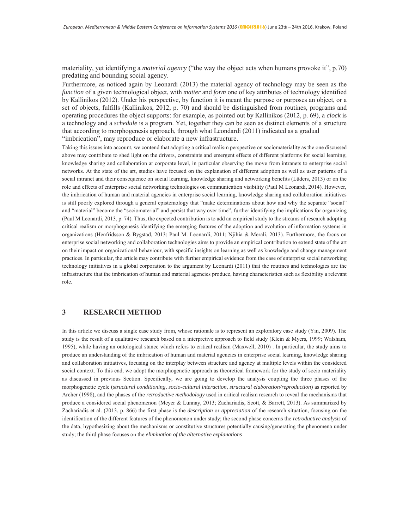materiality, yet identifying a *material agency* ("the way the object acts when humans provoke it", p.70) predating and bounding social agency.

Furthermore, as noticed again by Leonardi (2013) the material agency of technology may be seen as the function of a given technological object, with matter and form one of key attributes of technology identified by Kallinikos (2012). Under his perspective, by function it is meant the purpose or purposes an object, or a set of objects, fulfills (Kallinikos, 2012, p. 70) and should be distinguished from routines, programs and operating procedures the object supports: for example, as pointed out by Kallinikos (2012, p. 69), a *clock* is a technology and a *schedule* is a program. Yet, together they can be seen as distinct elements of a structure that according to morphogenesis approach, through what Leondardi (2011) indicated as a gradual "imbrication", may reproduce or elaborate a new infrastructure.

Taking this issues into account, we contend that adopting a critical realism perspective on sociomateriality as the one discussed above may contribute to shed light on the drivers, constraints and emergent effects of different platforms for social learning, knowledge sharing and collaboration at corporate level, in particular observing the move from intranets to enterprise social networks. At the state of the art, studies have focused on the explanation of different adoption as well as user patterns of a social intranet and their consequence on social learning, knowledge sharing and networking benefits (Lüders, 2013) or on the role and effects of enterprise social networking technologies on communication visibility (Paul M Leonardi, 2014). However, the imbrication of human and material agencies in enterprise social learning, knowledge sharing and collaboration initiatives is still poorly explored through a general epistemology that "make determinations about how and why the separate "social" and "material" become the "sociomaterial" and persist that way over time", further identifying the implications for organizing (Paul M Leonardi, 2013, p. 74). Thus, the expected contribution is to add an empirical study to the streams of research adopting critical realism or morphogenesis identifying the emerging features of the adoption and evolution of information systems in organizations (Henfridsson & Bygstad, 2013; Paul M. Leonardi, 2011; Njihia & Merali, 2013). Furthermore, the focus on enterprise social networking and collaboration technologies aims to provide an empirical contribution to extend state of the art on their impact on organizational behaviour, with specific insights on learning as well as knowledge and change management practices. In particular, the article may contribute with further empirical evidence from the case of enterprise social networking technology initiatives in a global corporation to the argument by Leonardi (2011) that the routines and technologies are the infrastructure that the imbrication of human and material agencies produce, having characteristics such as flexibility a relevant role.

#### $\overline{3}$ **RESEARCH METHOD**

In this article we discuss a single case study from, whose rationale is to represent an exploratory case study (Yin, 2009). The study is the result of a qualitative research based on a interpretive approach to field study (Klein & Myers, 1999; Walsham, 1995), while having an ontological stance which refers to critical realism (Maxwell, 2010). In particular, the study aims to produce an understanding of the imbrication of human and material agencies in enterprise social learning, knowledge sharing and collaboration initiatives, focusing on the interplay between structure and agency at multiple levels within the considered social context. To this end, we adopt the morphogenetic approach as theoretical framework for the study of socio materiality as discussed in previous Section. Specifically, we are going to develop the analysis coupling the three phases of the morphogenetic cycle (structural conditioning, socio-cultural interaction, structural elaboration/reproduction) as reported by Archer (1998), and the phases of the *retroductive methodology* used in critical realism research to reveal the mechanisms that produce a considered social phenomenon (Meyer & Lunnay, 2013; Zachariadis, Scott, & Barrett, 2013). As summarized by Zachariadis et al. (2013, p. 866) the first phase is the *description* or *appreciation* of the research situation, focusing on the identification of the different features of the phenomenon under study; the second phase concerns the retroductive analysis of the data, hypothesizing about the mechanisms or constitutive structures potentially causing/generating the phenomena under study; the third phase focuses on the elimination of the alternative explanations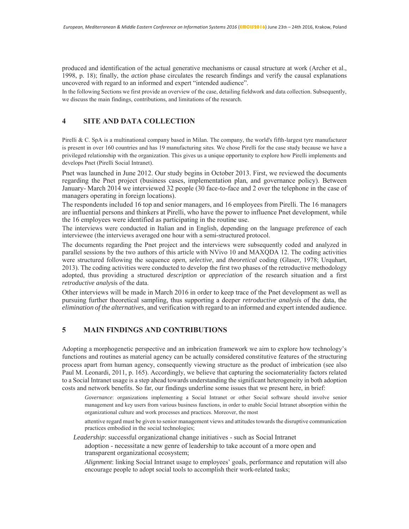produced and identification of the actual generative mechanisms or causal structure at work (Archer et al., 1998, p. 18); finally, the *action* phase circulates the research findings and verify the causal explanations uncovered with regard to an informed and expert "intended audience".

In the following Sections we first provide an overview of the case, detailing fieldwork and data collection. Subsequently, we discuss the main findings, contributions, and limitations of the research.

#### $\overline{\mathbf{4}}$ **SITE AND DATA COLLECTION**

Pirelli & C. SpA is a multinational company based in Milan. The company, the world's fifth-largest tyre manufacturer is present in over 160 countries and has 19 manufacturing sites. We chose Pirelli for the case study because we have a privileged relationship with the organization. This gives us a unique opportunity to explore how Pirelli implements and develops Pnet (Pirelli Social Intranet).

Pnet was launched in June 2012. Our study begins in October 2013. First, we reviewed the documents regarding the Pnet project (business cases, implementation plan, and governance policy). Between January-March 2014 we interviewed 32 people (30 face-to-face and 2 over the telephone in the case of managers operating in foreign locations).

The respondents included 16 top and senior managers, and 16 employees from Pirelli. The 16 managers are influential persons and thinkers at Pirelli, who have the power to influence Pnet development, while the 16 employees were identified as participating in the routine use.

The interviews were conducted in Italian and in English, depending on the language preference of each interviewee (the interviews averaged one hour with a semi-structured protocol.

The documents regarding the Pnet project and the interviews were subsequently coded and analyzed in parallel sessions by the two authors of this article with NVivo 10 and MAXQDA 12. The coding activities were structured following the sequence open, selective, and theoretical coding (Glaser, 1978; Urquhart, 2013). The coding activities were conducted to develop the first two phases of the retroductive methodology adopted, thus providing a structured *description* or *appreciation* of the research situation and a first retroductive analysis of the data.

Other interviews will be made in March 2016 in order to keep trace of the Pnet development as well as pursuing further theoretical sampling, thus supporting a deeper *retroductive analysis* of the data, the elimination of the alternatives, and verification with regard to an informed and expert intended audience.

#### $\overline{5}$ **MAIN FINDINGS AND CONTRIBUTIONS**

Adopting a morphogenetic perspective and an imbrication framework we aim to explore how technology's functions and routines as material agency can be actually considered constitutive features of the structuring process apart from human agency, consequently viewing structure as the product of imbrication (see also Paul M. Leonardi, 2011, p. 165). Accordingly, we believe that capturing the sociomateriality factors related to a Social Intranet usage is a step ahead towards understanding the significant heterogeneity in both adoption costs and network benefits. So far, our findings underline some issues that we present here, in brief:

Governance: organizations implementing a Social Intranet or other Social software should involve senior management and key users from various business functions, in order to enable Social Intranet absorption within the organizational culture and work processes and practices. Moreover, the most

attentive regard must be given to senior management views and attitudes towards the disruptive communication practices embodied in the social technologies;

Leadership: successful organizational change initiatives - such as Social Intranet

adoption - necessitate a new genre of leadership to take account of a more open and transparent organizational ecosystem;

Alignment: linking Social Intranet usage to employees' goals, performance and reputation will also encourage people to adopt social tools to accomplish their work-related tasks;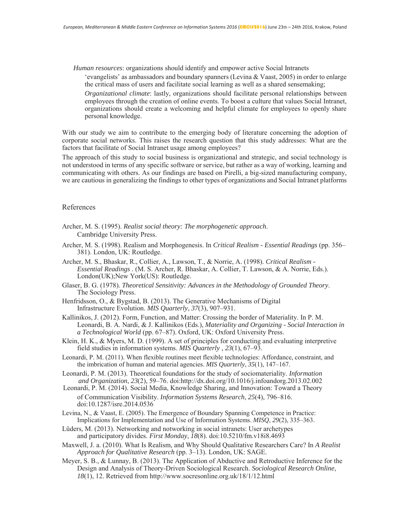*Human resources:* organizations should identify and empower active Social Intranets

'evangelists' as ambassadors and boundary spanners (Levina & Vaast, 2005) in order to enlarge the critical mass of users and facilitate social learning as well as a shared sensemaking;

*Organizational climate:* lastly, organizations should facilitate personal relationships between employees through the creation of online events. To boost a culture that values Social Intranet, organizations should create a welcoming and helpful climate for employees to openly share personal knowledge.

With our study we aim to contribute to the emerging body of literature concerning the adoption of corporate social networks. This raises the research question that this study addresses: What are the factors that facilitate of Social Intranet usage among employees?

The approach of this study to social business is organizational and strategic, and social technology is not understood in terms of any specific software or service, but rather as a way of working, learning and communicating with others. As our findings are based on Pirelli, a big-sized manufacturing company, we are cautious in generalizing the findings to other types of organizations and Social Intranet platforms

## References

- Archer, M. S. (1995). Realist social theory: The morphogenetic approach. Cambridge University Press.
- Archer, M. S. (1998). Realism and Morphogenesis. In Critical Realism Essential Readings (pp. 356– 381). London, UK: Routledge.
- Archer, M. S., Bhaskar, R., Collier, A., Lawson, T., & Norrie, A. (1998). Critical Realism -Essential Readings . (M. S. Archer, R. Bhaskar, A. Collier, T. Lawson, & A. Norrie, Eds.). London(UK); New York(US): Routledge.
- Glaser, B. G. (1978). Theoretical Sensitivity: Advances in the Methodology of Grounded Theory. The Sociology Press.
- Henfridsson, O., & Bygstad, B. (2013). The Generative Mechanisms of Digital Infrastructure Evolution. MIS Quarterly, 37(3), 907-931.
- Kallinikos, J. (2012). Form, Function, and Matter: Crossing the border of Materiality. In P. M. Leonardi, B. A. Nardi, & J. Kallinikos (Eds.), Materiality and Organizing - Social Interaction in a Technological World (pp. 67-87). Oxford, UK: Oxford University Press.
- Klein, H. K., & Myers, M. D. (1999). A set of principles for conducting and evaluating interpretive field studies in information systems. MIS Quarterly ,  $23(1)$ ,  $67-93$ .
- Leonardi, P. M. (2011). When flexible routines meet flexible technologies: Affordance, constraint, and the imbrication of human and material agencies. MIS Quarterly,  $35(1)$ ,  $147-167$ .
- Leonardi, P. M. (2013). Theoretical foundations for the study of sociomateriality. Information and Organization, 23(2), 59-76. doi:http://dx.doi.org/10.1016/j.infoandorg.2013.02.002
- Leonardi, P. M. (2014). Social Media, Knowledge Sharing, and Innovation: Toward a Theory of Communication Visibility. Information Systems Research, 25(4), 796-816. doi:10.1287/isre.2014.0536
- Levina, N., & Vaast, E. (2005). The Emergence of Boundary Spanning Competence in Practice: Implications for Implementation and Use of Information Systems. MISQ, 29(2), 335–363.
- Lüders, M. (2013). Networking and notworking in social intranets: User archetypes and participatory divides. First Monday, 18(8). doi:10.5210/fm.v18i8.4693
- Maxwell, J. a. (2010). What Is Realism, and Why Should Qualitative Researchers Care? In A Realist Approach for Qualitative Research (pp. 3-13). London, UK: SAGE.
- Meyer, S. B., & Lunnay, B. (2013). The Application of Abductive and Retroductive Inference for the Design and Analysis of Theory-Driven Sociological Research. Sociological Research Online, 18(1), 12. Retrieved from http://www.socresonline.org.uk/18/1/12.html